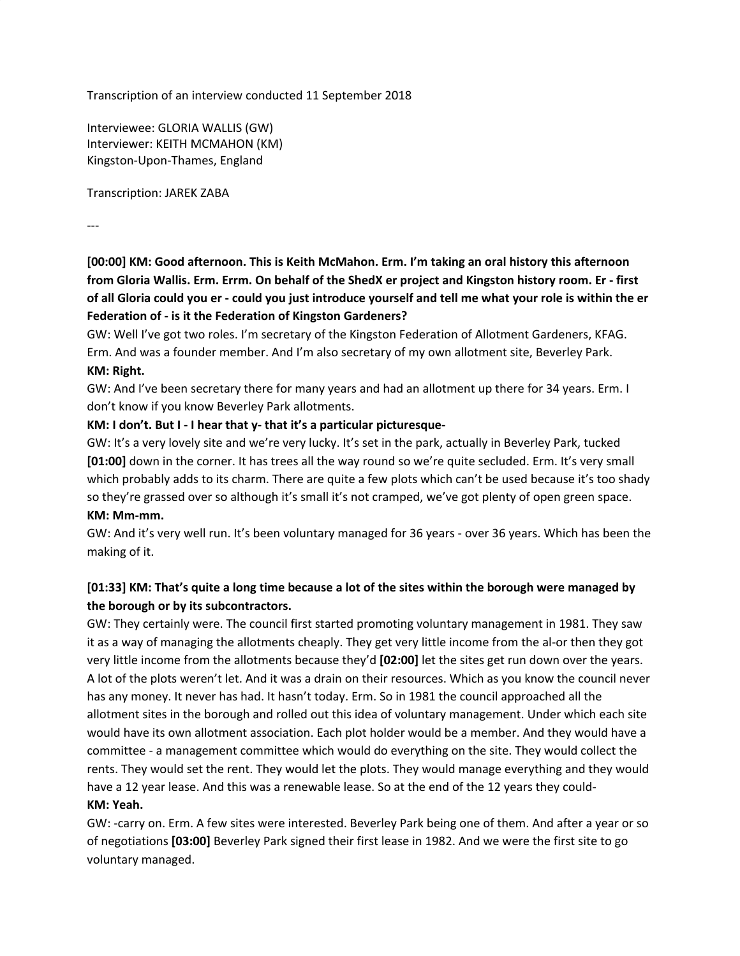Transcription of an interview conducted 11 September 2018

Interviewee: GLORIA WALLIS (GW) Interviewer: KEITH MCMAHON (KM) Kingston-Upon-Thames, England

Transcription: JAREK ZABA

---

**[00:00] KM: Good afternoon. This is Keith McMahon. Erm. I'm taking an oral history this afternoon** from Gloria Wallis. Erm. Errm. On behalf of the ShedX er project and Kingston history room. Er - first of all Gloria could you er - could you just introduce yourself and tell me what your role is within the er **Federation of - is it the Federation of Kingston Gardeners?**

GW: Well I've got two roles. I'm secretary of the Kingston Federation of Allotment Gardeners, KFAG. Erm. And was a founder member. And I'm also secretary of my own allotment site, Beverley Park. **KM: Right.**

GW: And I've been secretary there for many years and had an allotment up there for 34 years. Erm. I don't know if you know Beverley Park allotments.

### **KM: I don't. But I - I hear that y- that it's a particular picturesque-**

GW: It's a very lovely site and we're very lucky. It's set in the park, actually in Beverley Park, tucked **[01:00]** down in the corner. It has trees all the way round so we're quite secluded. Erm. It's very small which probably adds to its charm. There are quite a few plots which can't be used because it's too shady so they're grassed over so although it's small it's not cramped, we've got plenty of open green space. **KM: Mm-mm.**

GW: And it's very well run. It's been voluntary managed for 36 years - over 36 years. Which has been the making of it.

# [01:33] KM: That's quite a long time because a lot of the sites within the borough were managed by **the borough or by its subcontractors.**

GW: They certainly were. The council first started promoting voluntary management in 1981. They saw it as a way of managing the allotments cheaply. They get very little income from the al-or then they got very little income from the allotments because they'd **[02:00]** let the sites get run down over the years. A lot of the plots weren't let. And it was a drain on their resources. Which as you know the council never has any money. It never has had. It hasn't today. Erm. So in 1981 the council approached all the allotment sites in the borough and rolled out this idea of voluntary management. Under which each site would have its own allotment association. Each plot holder would be a member. And they would have a committee - a management committee which would do everything on the site. They would collect the rents. They would set the rent. They would let the plots. They would manage everything and they would have a 12 year lease. And this was a renewable lease. So at the end of the 12 years they could-**KM: Yeah.**

GW: -carry on. Erm. A few sites were interested. Beverley Park being one of them. And after a year or so of negotiations **[03:00]** Beverley Park signed their first lease in 1982. And we were the first site to go voluntary managed.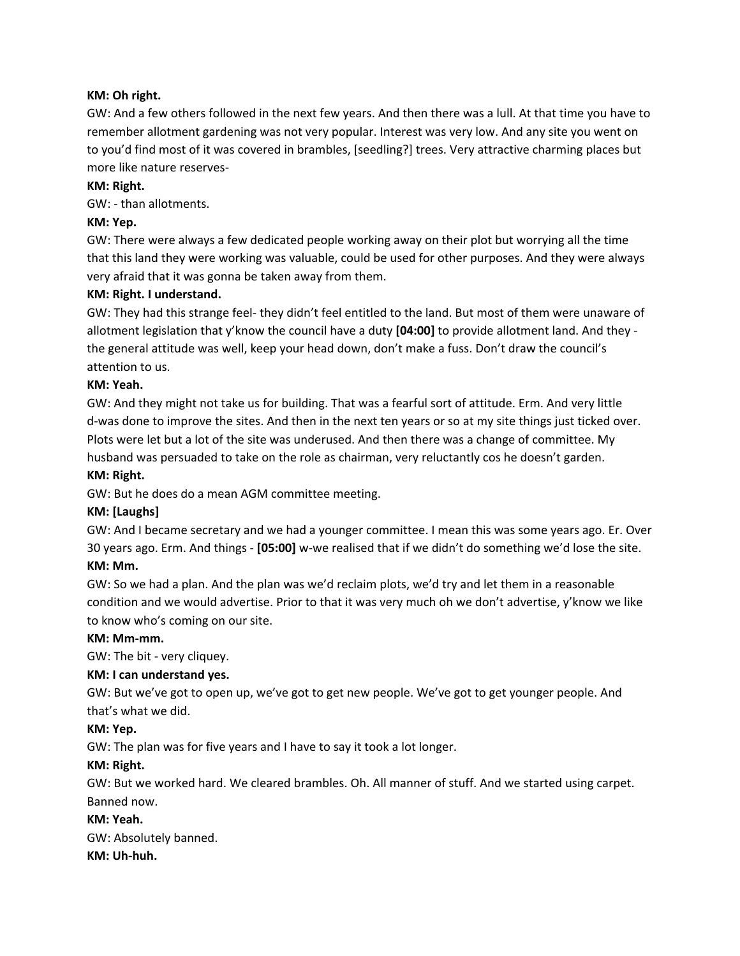### **KM: Oh right.**

GW: And a few others followed in the next few years. And then there was a lull. At that time you have to remember allotment gardening was not very popular. Interest was very low. And any site you went on to you'd find most of it was covered in brambles, [seedling?] trees. Very attractive charming places but more like nature reserves-

### **KM: Right.**

GW: - than allotments.

### **KM: Yep.**

GW: There were always a few dedicated people working away on their plot but worrying all the time that this land they were working was valuable, could be used for other purposes. And they were always very afraid that it was gonna be taken away from them.

### **KM: Right. I understand.**

GW: They had this strange feel- they didn't feel entitled to the land. But most of them were unaware of allotment legislation that y'know the council have a duty **[04:00]** to provide allotment land. And they the general attitude was well, keep your head down, don't make a fuss. Don't draw the council's attention to us.

### **KM: Yeah.**

GW: And they might not take us for building. That was a fearful sort of attitude. Erm. And very little d-was done to improve the sites. And then in the next ten years or so at my site things just ticked over. Plots were let but a lot of the site was underused. And then there was a change of committee. My husband was persuaded to take on the role as chairman, very reluctantly cos he doesn't garden.

### **KM: Right.**

GW: But he does do a mean AGM committee meeting.

### **KM: [Laughs]**

GW: And I became secretary and we had a younger committee. I mean this was some years ago. Er. Over 30 years ago. Erm. And things - **[05:00]** w-we realised that if we didn't do something we'd lose the site. **KM: Mm.**

# GW: So we had a plan. And the plan was we'd reclaim plots, we'd try and let them in a reasonable condition and we would advertise. Prior to that it was very much oh we don't advertise, y'know we like to know who's coming on our site.

### **KM: Mm-mm.**

GW: The bit - very cliquey.

### **KM: I can understand yes.**

GW: But we've got to open up, we've got to get new people. We've got to get younger people. And that's what we did.

### **KM: Yep.**

GW: The plan was for five years and I have to say it took a lot longer.

### **KM: Right.**

GW: But we worked hard. We cleared brambles. Oh. All manner of stuff. And we started using carpet. Banned now.

### **KM: Yeah.**

GW: Absolutely banned.

### **KM: Uh-huh.**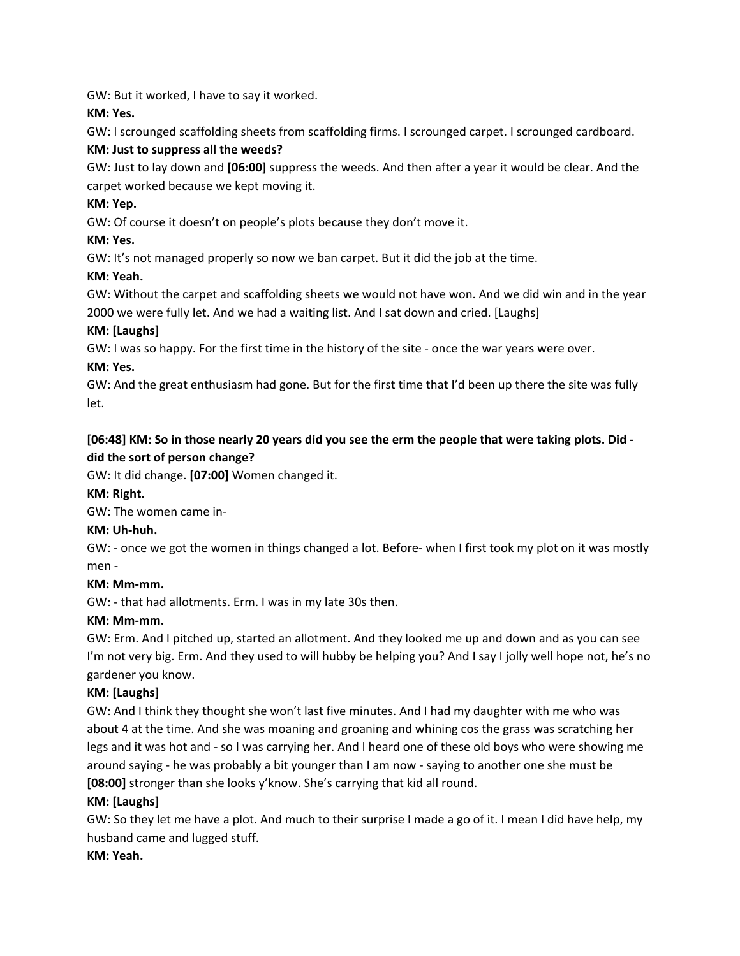GW: But it worked, I have to say it worked.

**KM: Yes.**

GW: I scrounged scaffolding sheets from scaffolding firms. I scrounged carpet. I scrounged cardboard.

# **KM: Just to suppress all the weeds?**

GW: Just to lay down and **[06:00]** suppress the weeds. And then after a year it would be clear. And the carpet worked because we kept moving it.

# **KM: Yep.**

GW: Of course it doesn't on people's plots because they don't move it.

# **KM: Yes.**

GW: It's not managed properly so now we ban carpet. But it did the job at the time.

# **KM: Yeah.**

GW: Without the carpet and scaffolding sheets we would not have won. And we did win and in the year 2000 we were fully let. And we had a waiting list. And I sat down and cried. [Laughs]

# **KM: [Laughs]**

GW: I was so happy. For the first time in the history of the site - once the war years were over.

# **KM: Yes.**

GW: And the great enthusiasm had gone. But for the first time that I'd been up there the site was fully let.

# [06:48] KM: So in those nearly 20 years did you see the erm the people that were taking plots. Did **did the sort of person change?**

GW: It did change. **[07:00]** Women changed it.

# **KM: Right.**

GW: The women came in-

# **KM: Uh-huh.**

GW: - once we got the women in things changed a lot. Before- when I first took my plot on it was mostly men -

# **KM: Mm-mm.**

GW: - that had allotments. Erm. I was in my late 30s then.

# **KM: Mm-mm.**

GW: Erm. And I pitched up, started an allotment. And they looked me up and down and as you can see I'm not very big. Erm. And they used to will hubby be helping you? And I say I jolly well hope not, he's no gardener you know.

# **KM: [Laughs]**

GW: And I think they thought she won't last five minutes. And I had my daughter with me who was about 4 at the time. And she was moaning and groaning and whining cos the grass was scratching her legs and it was hot and - so I was carrying her. And I heard one of these old boys who were showing me around saying - he was probably a bit younger than I am now - saying to another one she must be **[08:00]** stronger than she looks y'know. She's carrying that kid all round.

# **KM: [Laughs]**

GW: So they let me have a plot. And much to their surprise I made a go of it. I mean I did have help, my husband came and lugged stuff.

# **KM: Yeah.**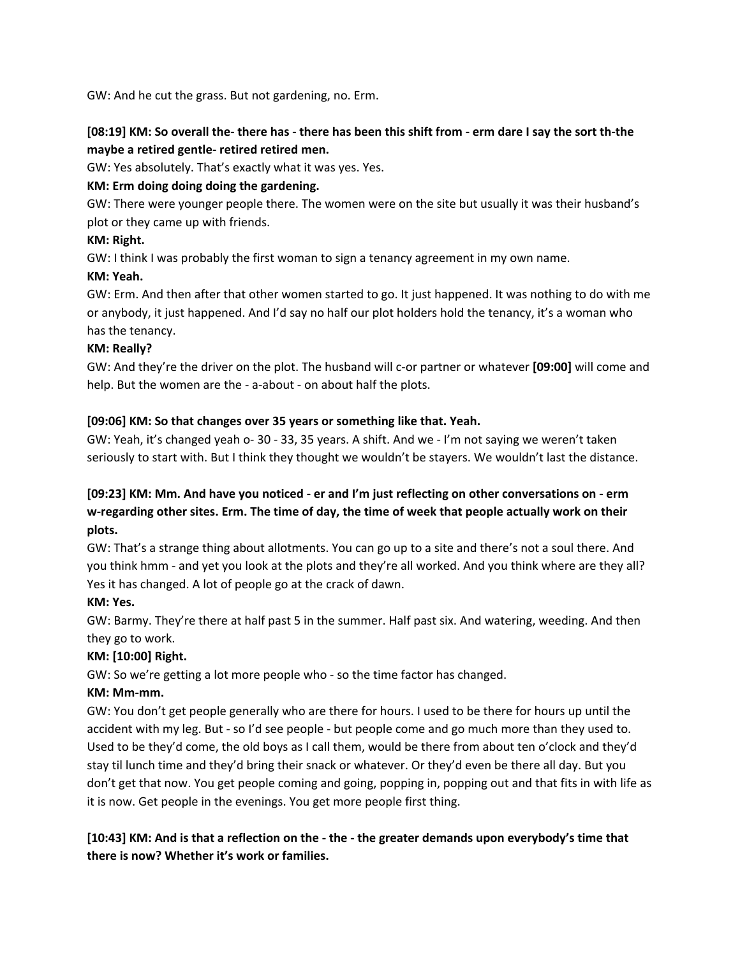GW: And he cut the grass. But not gardening, no. Erm.

# [08:19] KM: So overall the- there has - there has been this shift from - erm dare I say the sort th-the **maybe a retired gentle- retired retired men.**

GW: Yes absolutely. That's exactly what it was yes. Yes.

# **KM: Erm doing doing doing the gardening.**

GW: There were younger people there. The women were on the site but usually it was their husband's plot or they came up with friends.

# **KM: Right.**

GW: I think I was probably the first woman to sign a tenancy agreement in my own name.

# **KM: Yeah.**

GW: Erm. And then after that other women started to go. It just happened. It was nothing to do with me or anybody, it just happened. And I'd say no half our plot holders hold the tenancy, it's a woman who has the tenancy.

# **KM: Really?**

GW: And they're the driver on the plot. The husband will c-or partner or whatever **[09:00]** will come and help. But the women are the - a-about - on about half the plots.

# **[09:06] KM: So that changes over 35 years or something like that. Yeah.**

GW: Yeah, it's changed yeah o- 30 - 33, 35 years. A shift. And we - I'm not saying we weren't taken seriously to start with. But I think they thought we wouldn't be stayers. We wouldn't last the distance.

# [09:23] KM: Mm. And have you noticed - er and I'm just reflecting on other conversations on - erm **w-regarding other sites. Erm. The time of day, the time of week that people actually work on their plots.**

GW: That's a strange thing about allotments. You can go up to a site and there's not a soul there. And you think hmm - and yet you look at the plots and they're all worked. And you think where are they all? Yes it has changed. A lot of people go at the crack of dawn.

# **KM: Yes.**

GW: Barmy. They're there at half past 5 in the summer. Half past six. And watering, weeding. And then they go to work.

# **KM: [10:00] Right.**

GW: So we're getting a lot more people who - so the time factor has changed.

# **KM: Mm-mm.**

GW: You don't get people generally who are there for hours. I used to be there for hours up until the accident with my leg. But - so I'd see people - but people come and go much more than they used to. Used to be they'd come, the old boys as I call them, would be there from about ten o'clock and they'd stay til lunch time and they'd bring their snack or whatever. Or they'd even be there all day. But you don't get that now. You get people coming and going, popping in, popping out and that fits in with life as it is now. Get people in the evenings. You get more people first thing.

[10:43] KM: And is that a reflection on the - the - the greater demands upon everybody's time that **there is now? Whether it's work or families.**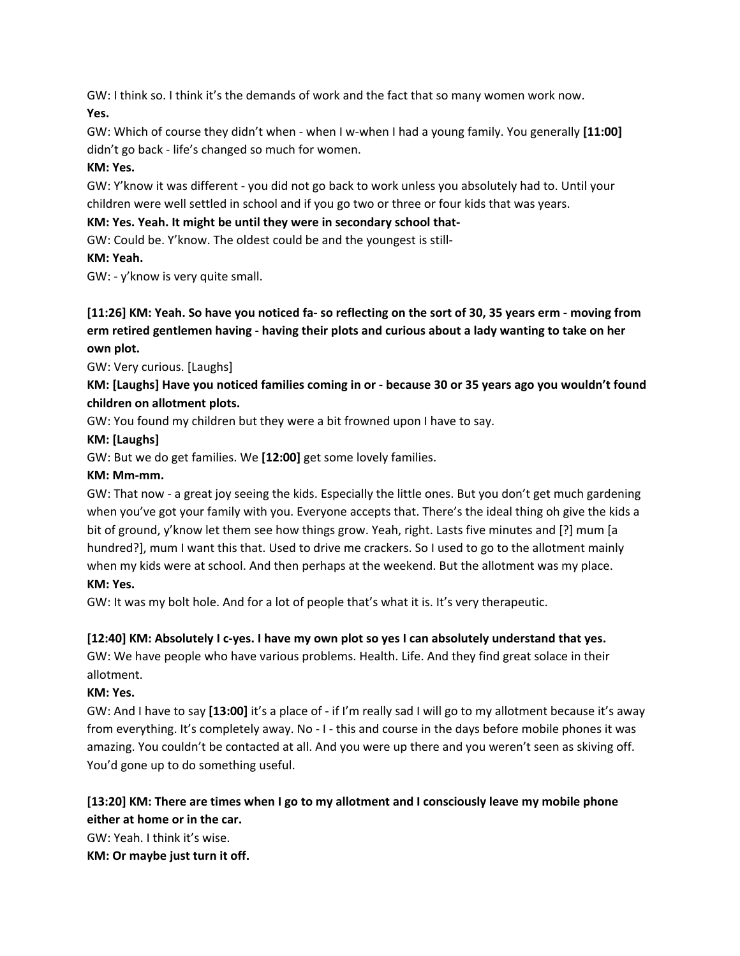GW: I think so. I think it's the demands of work and the fact that so many women work now. **Yes.**

GW: Which of course they didn't when - when I w-when I had a young family. You generally **[11:00]** didn't go back - life's changed so much for women.

### **KM: Yes.**

GW: Y'know it was different - you did not go back to work unless you absolutely had to. Until your children were well settled in school and if you go two or three or four kids that was years.

# **KM: Yes. Yeah. It might be until they were in secondary school that-**

GW: Could be. Y'know. The oldest could be and the youngest is still-

### **KM: Yeah.**

GW: - y'know is very quite small.

# [11:26] KM: Yeah. So have you noticed fa- so reflecting on the sort of 30, 35 years erm - moving from **erm retired gentlemen having - having their plots and curious about a lady wanting to take on her own plot.**

GW: Very curious. [Laughs]

# KM: [Laughs] Have you noticed families coming in or - because 30 or 35 years ago you wouldn't found **children on allotment plots.**

GW: You found my children but they were a bit frowned upon I have to say.

### **KM: [Laughs]**

GW: But we do get families. We **[12:00]** get some lovely families.

### **KM: Mm-mm.**

GW: That now - a great joy seeing the kids. Especially the little ones. But you don't get much gardening when you've got your family with you. Everyone accepts that. There's the ideal thing oh give the kids a bit of ground, y'know let them see how things grow. Yeah, right. Lasts five minutes and [?] mum [a hundred?], mum I want this that. Used to drive me crackers. So I used to go to the allotment mainly when my kids were at school. And then perhaps at the weekend. But the allotment was my place.

# **KM: Yes.**

GW: It was my bolt hole. And for a lot of people that's what it is. It's very therapeutic.

# **[12:40] KM: Absolutely I c-yes. I have my own plot so yes I can absolutely understand that yes.**

GW: We have people who have various problems. Health. Life. And they find great solace in their allotment.

# **KM: Yes.**

GW: And I have to say **[13:00]** it's a place of - if I'm really sad I will go to my allotment because it's away from everything. It's completely away. No - I - this and course in the days before mobile phones it was amazing. You couldn't be contacted at all. And you were up there and you weren't seen as skiving off. You'd gone up to do something useful.

# **[13:20] KM: There are times when I go to my allotment and I consciously leave my mobile phone either at home or in the car.**

GW: Yeah. I think it's wise.

**KM: Or maybe just turn it off.**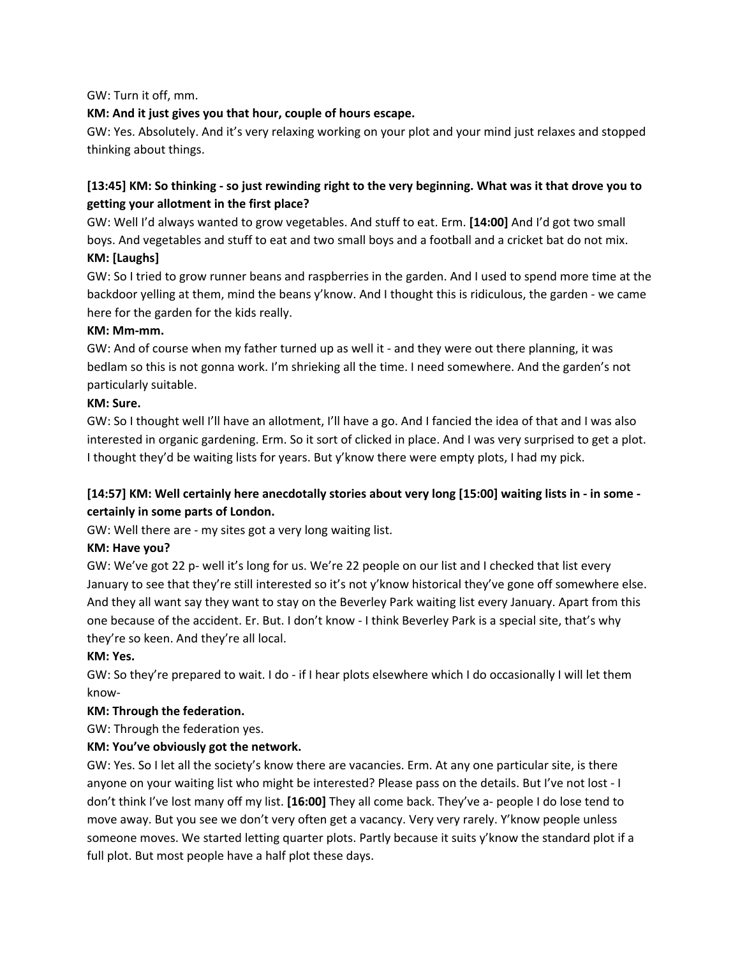GW: Turn it off, mm.

# **KM: And it just gives you that hour, couple of hours escape.**

GW: Yes. Absolutely. And it's very relaxing working on your plot and your mind just relaxes and stopped thinking about things.

# [13:45] KM: So thinking - so just rewinding right to the very beginning. What was it that drove you to **getting your allotment in the first place?**

GW: Well I'd always wanted to grow vegetables. And stuff to eat. Erm. **[14:00]** And I'd got two small boys. And vegetables and stuff to eat and two small boys and a football and a cricket bat do not mix. **KM: [Laughs]**

GW: So I tried to grow runner beans and raspberries in the garden. And I used to spend more time at the backdoor yelling at them, mind the beans y'know. And I thought this is ridiculous, the garden - we came here for the garden for the kids really.

### **KM: Mm-mm.**

GW: And of course when my father turned up as well it - and they were out there planning, it was bedlam so this is not gonna work. I'm shrieking all the time. I need somewhere. And the garden's not particularly suitable.

### **KM: Sure.**

GW: So I thought well I'll have an allotment, I'll have a go. And I fancied the idea of that and I was also interested in organic gardening. Erm. So it sort of clicked in place. And I was very surprised to get a plot. I thought they'd be waiting lists for years. But y'know there were empty plots, I had my pick.

# [14:57] KM: Well certainly here anecdotally stories about very long [15:00] waiting lists in - in some **certainly in some parts of London.**

GW: Well there are - my sites got a very long waiting list.

# **KM: Have you?**

GW: We've got 22 p- well it's long for us. We're 22 people on our list and I checked that list every January to see that they're still interested so it's not y'know historical they've gone off somewhere else. And they all want say they want to stay on the Beverley Park waiting list every January. Apart from this one because of the accident. Er. But. I don't know - I think Beverley Park is a special site, that's why they're so keen. And they're all local.

# **KM: Yes.**

GW: So they're prepared to wait. I do - if I hear plots elsewhere which I do occasionally I will let them know-

# **KM: Through the federation.**

GW: Through the federation yes.

# **KM: You've obviously got the network.**

GW: Yes. So I let all the society's know there are vacancies. Erm. At any one particular site, is there anyone on your waiting list who might be interested? Please pass on the details. But I've not lost - I don't think I've lost many off my list. **[16:00]** They all come back. They've a- people I do lose tend to move away. But you see we don't very often get a vacancy. Very very rarely. Y'know people unless someone moves. We started letting quarter plots. Partly because it suits y'know the standard plot if a full plot. But most people have a half plot these days.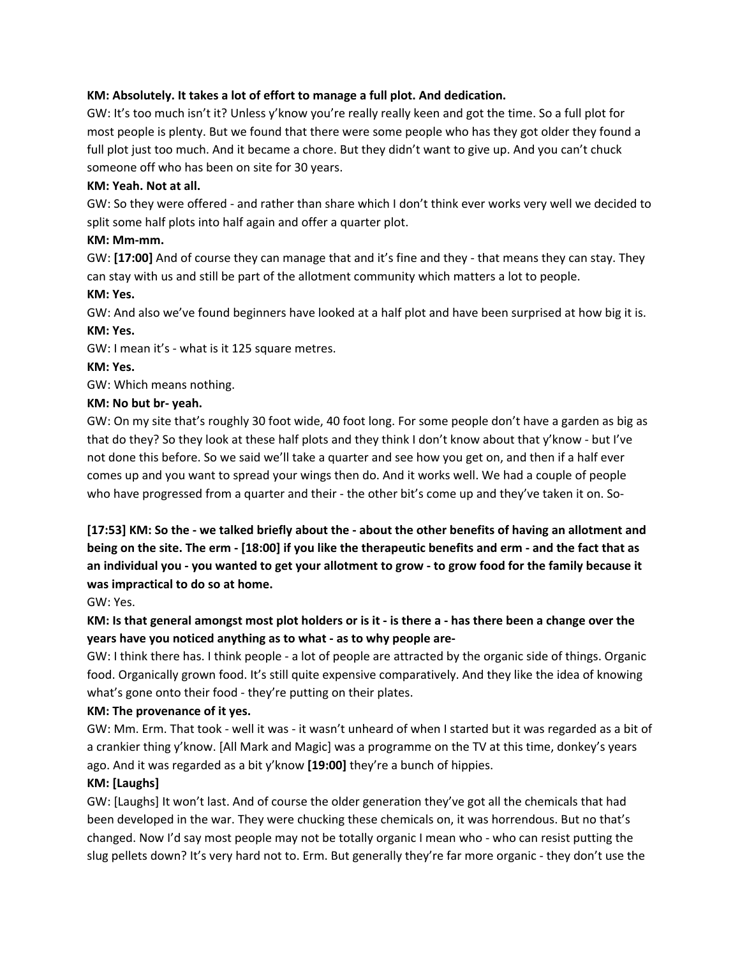### **KM: Absolutely. It takes a lot of effort to manage a full plot. And dedication.**

GW: It's too much isn't it? Unless y'know you're really really keen and got the time. So a full plot for most people is plenty. But we found that there were some people who has they got older they found a full plot just too much. And it became a chore. But they didn't want to give up. And you can't chuck someone off who has been on site for 30 years.

### **KM: Yeah. Not at all.**

GW: So they were offered - and rather than share which I don't think ever works very well we decided to split some half plots into half again and offer a quarter plot.

### **KM: Mm-mm.**

GW: **[17:00]** And of course they can manage that and it's fine and they - that means they can stay. They can stay with us and still be part of the allotment community which matters a lot to people.

# **KM: Yes.**

GW: And also we've found beginners have looked at a half plot and have been surprised at how big it is. **KM: Yes.**

GW: I mean it's - what is it 125 square metres.

### **KM: Yes.**

GW: Which means nothing.

### **KM: No but br- yeah.**

GW: On my site that's roughly 30 foot wide, 40 foot long. For some people don't have a garden as big as that do they? So they look at these half plots and they think I don't know about that y'know - but I've not done this before. So we said we'll take a quarter and see how you get on, and then if a half ever comes up and you want to spread your wings then do. And it works well. We had a couple of people who have progressed from a quarter and their - the other bit's come up and they've taken it on. So-

[17:53] KM: So the - we talked briefly about the - about the other benefits of having an allotment and being on the site. The erm - [18:00] if you like the therapeutic benefits and erm - and the fact that as an individual you - you wanted to get your allotment to grow - to grow food for the family because it **was impractical to do so at home.**

GW: Yes.

# KM: Is that general amongst most plot holders or is it - is there a - has there been a change over the **years have you noticed anything as to what - as to why people are-**

GW: I think there has. I think people - a lot of people are attracted by the organic side of things. Organic food. Organically grown food. It's still quite expensive comparatively. And they like the idea of knowing what's gone onto their food - they're putting on their plates.

# **KM: The provenance of it yes.**

GW: Mm. Erm. That took - well it was - it wasn't unheard of when I started but it was regarded as a bit of a crankier thing y'know. [All Mark and Magic] was a programme on the TV at this time, donkey's years ago. And it was regarded as a bit y'know **[19:00]** they're a bunch of hippies.

### **KM: [Laughs]**

GW: [Laughs] It won't last. And of course the older generation they've got all the chemicals that had been developed in the war. They were chucking these chemicals on, it was horrendous. But no that's changed. Now I'd say most people may not be totally organic I mean who - who can resist putting the slug pellets down? It's very hard not to. Erm. But generally they're far more organic - they don't use the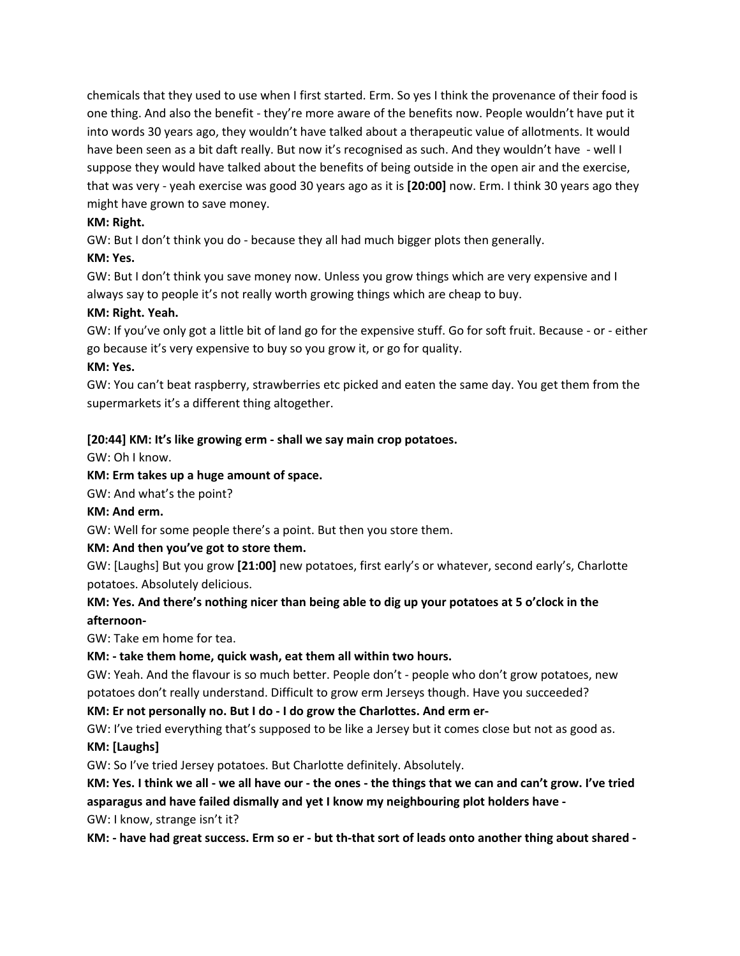chemicals that they used to use when I first started. Erm. So yes I think the provenance of their food is one thing. And also the benefit - they're more aware of the benefits now. People wouldn't have put it into words 30 years ago, they wouldn't have talked about a therapeutic value of allotments. It would have been seen as a bit daft really. But now it's recognised as such. And they wouldn't have - well I suppose they would have talked about the benefits of being outside in the open air and the exercise, that was very - yeah exercise was good 30 years ago as it is **[20:00]** now. Erm. I think 30 years ago they might have grown to save money.

### **KM: Right.**

GW: But I don't think you do - because they all had much bigger plots then generally.

### **KM: Yes.**

GW: But I don't think you save money now. Unless you grow things which are very expensive and I always say to people it's not really worth growing things which are cheap to buy.

### **KM: Right. Yeah.**

GW: If you've only got a little bit of land go for the expensive stuff. Go for soft fruit. Because - or - either go because it's very expensive to buy so you grow it, or go for quality.

### **KM: Yes.**

GW: You can't beat raspberry, strawberries etc picked and eaten the same day. You get them from the supermarkets it's a different thing altogether.

# **[20:44] KM: It's like growing erm - shall we say main crop potatoes.**

GW: Oh I know.

### **KM: Erm takes up a huge amount of space.**

GW: And what's the point?

**KM: And erm.**

GW: Well for some people there's a point. But then you store them.

# **KM: And then you've got to store them.**

GW: [Laughs] But you grow **[21:00]** new potatoes, first early's or whatever, second early's, Charlotte potatoes. Absolutely delicious.

# KM: Yes. And there's nothing nicer than being able to dig up your potatoes at 5 o'clock in the **afternoon-**

GW: Take em home for tea.

# **KM: - take them home, quick wash, eat them all within two hours.**

GW: Yeah. And the flavour is so much better. People don't - people who don't grow potatoes, new potatoes don't really understand. Difficult to grow erm Jerseys though. Have you succeeded?

**KM: Er not personally no. But I do - I do grow the Charlottes. And erm er-**

GW: I've tried everything that's supposed to be like a Jersey but it comes close but not as good as.

### **KM: [Laughs]**

GW: So I've tried Jersey potatoes. But Charlotte definitely. Absolutely.

KM: Yes. I think we all - we all have our - the ones - the things that we can and can't grow. I've tried **asparagus and have failed dismally and yet I know my neighbouring plot holders have -**

GW: I know, strange isn't it?

KM: - have had great success. Erm so er - but th-that sort of leads onto another thing about shared -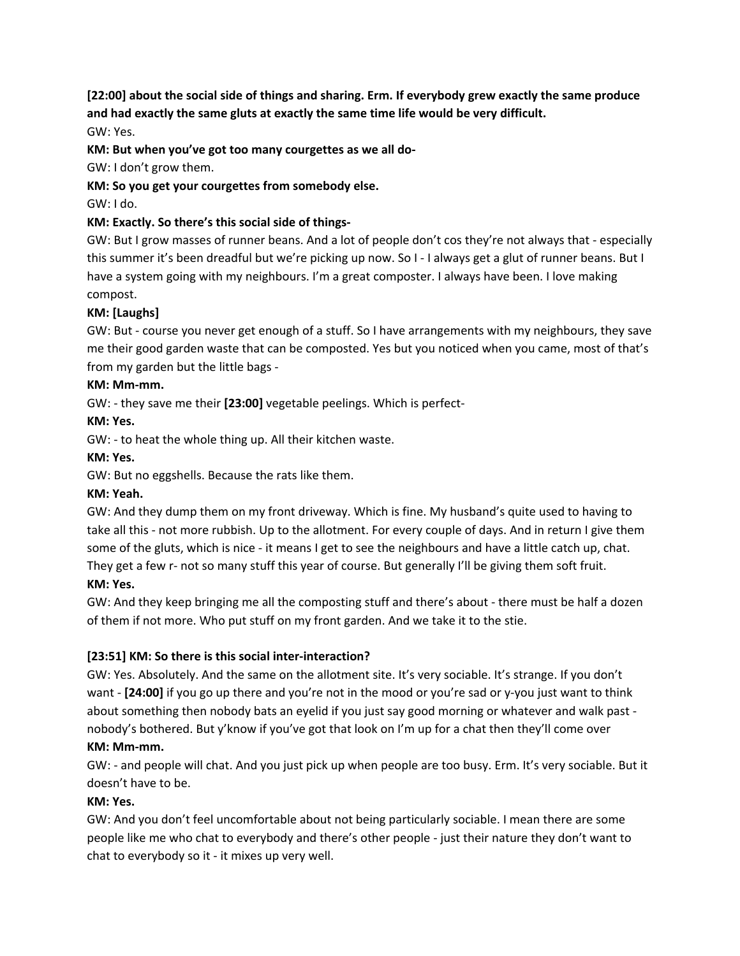# **[22:00] about the social side of things and sharing. Erm. If everybody grew exactly the same produce and had exactly the same gluts at exactly the same time life would be very difficult.**

GW: Yes.

**KM: But when you've got too many courgettes as we all do-**

GW: I don't grow them.

# **KM: So you get your courgettes from somebody else.**

GW: I do.

# **KM: Exactly. So there's this social side of things-**

GW: But I grow masses of runner beans. And a lot of people don't cos they're not always that - especially this summer it's been dreadful but we're picking up now. So I - I always get a glut of runner beans. But I have a system going with my neighbours. I'm a great composter. I always have been. I love making compost.

# **KM: [Laughs]**

GW: But - course you never get enough of a stuff. So I have arrangements with my neighbours, they save me their good garden waste that can be composted. Yes but you noticed when you came, most of that's from my garden but the little bags -

# **KM: Mm-mm.**

GW: - they save me their **[23:00]** vegetable peelings. Which is perfect-

# **KM: Yes.**

GW: - to heat the whole thing up. All their kitchen waste.

# **KM: Yes.**

GW: But no eggshells. Because the rats like them.

# **KM: Yeah.**

GW: And they dump them on my front driveway. Which is fine. My husband's quite used to having to take all this - not more rubbish. Up to the allotment. For every couple of days. And in return I give them some of the gluts, which is nice - it means I get to see the neighbours and have a little catch up, chat. They get a few r- not so many stuff this year of course. But generally I'll be giving them soft fruit. **KM: Yes.**

GW: And they keep bringing me all the composting stuff and there's about - there must be half a dozen of them if not more. Who put stuff on my front garden. And we take it to the stie.

# **[23:51] KM: So there is this social inter-interaction?**

GW: Yes. Absolutely. And the same on the allotment site. It's very sociable. It's strange. If you don't want - **[24:00]** if you go up there and you're not in the mood or you're sad or y-you just want to think about something then nobody bats an eyelid if you just say good morning or whatever and walk past nobody's bothered. But y'know if you've got that look on I'm up for a chat then they'll come over

# **KM: Mm-mm.**

GW: - and people will chat. And you just pick up when people are too busy. Erm. It's very sociable. But it doesn't have to be.

# **KM: Yes.**

GW: And you don't feel uncomfortable about not being particularly sociable. I mean there are some people like me who chat to everybody and there's other people - just their nature they don't want to chat to everybody so it - it mixes up very well.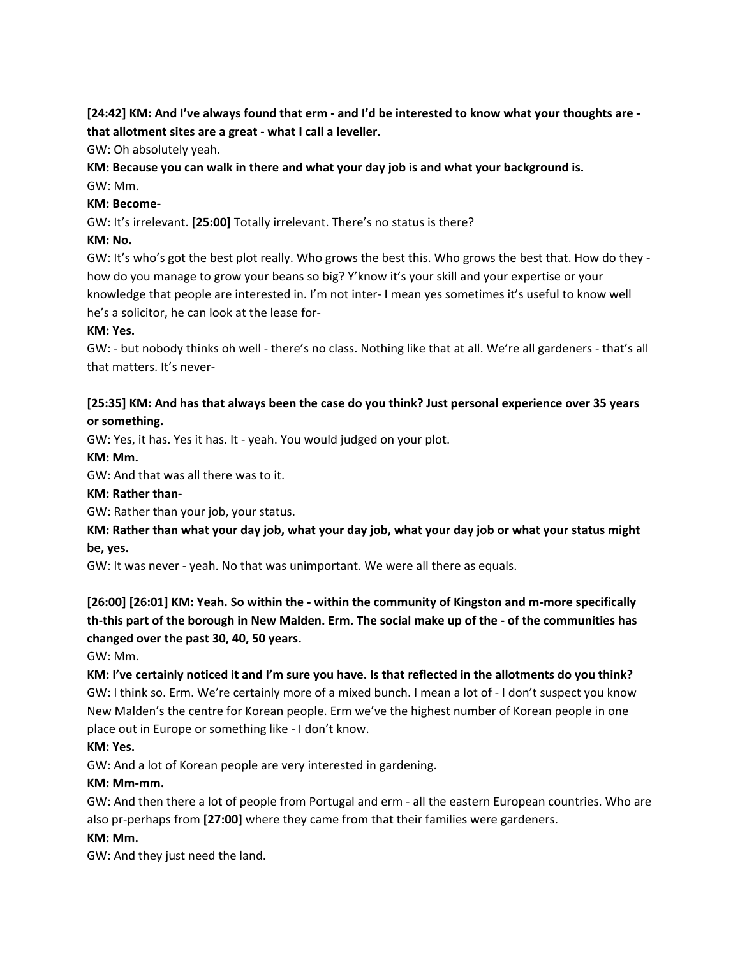# [24:42] KM: And I've always found that erm - and I'd be interested to know what your thoughts are **that allotment sites are a great - what I call a leveller.**

GW: Oh absolutely yeah.

### **KM: Because you can walk in there and what your day job is and what your background is.** GW: Mm.

# **KM: Become-**

GW: It's irrelevant. **[25:00]** Totally irrelevant. There's no status is there?

# **KM: No.**

GW: It's who's got the best plot really. Who grows the best this. Who grows the best that. How do they how do you manage to grow your beans so big? Y'know it's your skill and your expertise or your knowledge that people are interested in. I'm not inter- I mean yes sometimes it's useful to know well he's a solicitor, he can look at the lease for-

# **KM: Yes.**

GW: - but nobody thinks oh well - there's no class. Nothing like that at all. We're all gardeners - that's all that matters. It's never-

# **[25:35] KM: And has that always been the case do you think? Just personal experience over 35 years or something.**

GW: Yes, it has. Yes it has. It - yeah. You would judged on your plot.

# **KM: Mm.**

GW: And that was all there was to it.

# **KM: Rather than-**

GW: Rather than your job, your status.

# KM: Rather than what your day job, what your day job, what your day job or what your status might **be, yes.**

GW: It was never - yeah. No that was unimportant. We were all there as equals.

# **[26:00] [26:01] KM: Yeah. So within the - within the community of Kingston and m-more specifically** th-this part of the borough in New Malden. Erm. The social make up of the - of the communities has **changed over the past 30, 40, 50 years.**

GW: Mm.

KM: I've certainly noticed it and I'm sure you have. Is that reflected in the allotments do you think? GW: I think so. Erm. We're certainly more of a mixed bunch. I mean a lot of - I don't suspect you know New Malden's the centre for Korean people. Erm we've the highest number of Korean people in one place out in Europe or something like - I don't know.

# **KM: Yes.**

GW: And a lot of Korean people are very interested in gardening.

# **KM: Mm-mm.**

GW: And then there a lot of people from Portugal and erm - all the eastern European countries. Who are also pr-perhaps from **[27:00]** where they came from that their families were gardeners.

### **KM: Mm.**

GW: And they just need the land.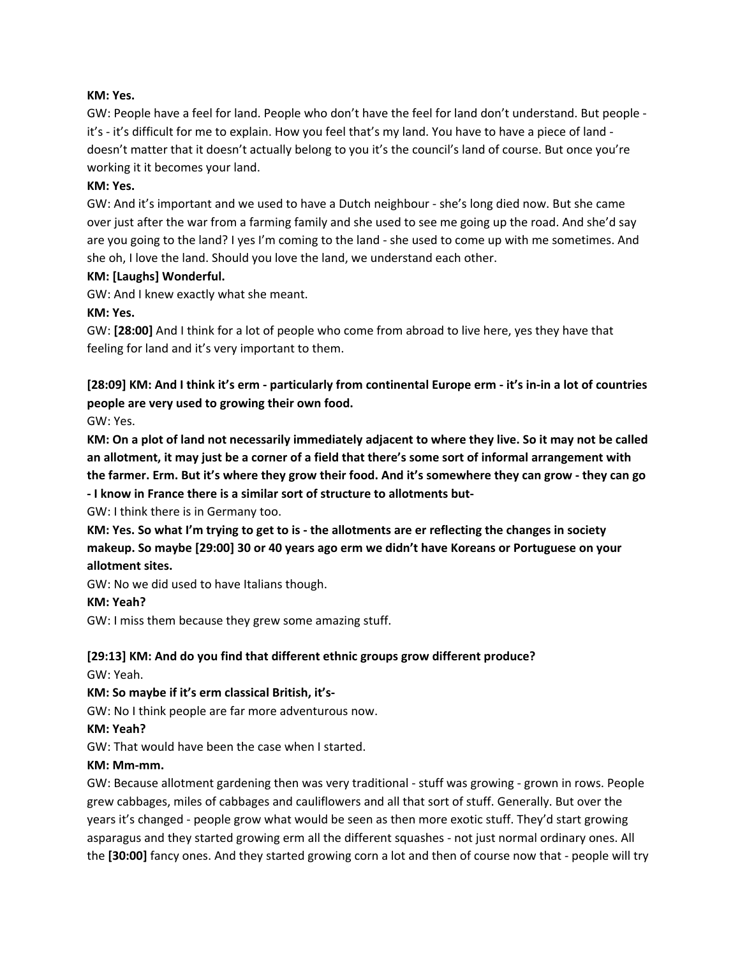### **KM: Yes.**

GW: People have a feel for land. People who don't have the feel for land don't understand. But people it's - it's difficult for me to explain. How you feel that's my land. You have to have a piece of land doesn't matter that it doesn't actually belong to you it's the council's land of course. But once you're working it it becomes your land.

#### **KM: Yes.**

GW: And it's important and we used to have a Dutch neighbour - she's long died now. But she came over just after the war from a farming family and she used to see me going up the road. And she'd say are you going to the land? I yes I'm coming to the land - she used to come up with me sometimes. And she oh, I love the land. Should you love the land, we understand each other.

#### **KM: [Laughs] Wonderful.**

GW: And I knew exactly what she meant.

#### **KM: Yes.**

GW: **[28:00]** And I think for a lot of people who come from abroad to live here, yes they have that feeling for land and it's very important to them.

[28:09] KM: And I think it's erm - particularly from continental Europe erm - it's in-in a lot of countries **people are very used to growing their own food.**

GW: Yes.

KM: On a plot of land not necessarily immediately adjacent to where they live. So it may not be called an allotment, it may just be a corner of a field that there's some sort of informal arrangement with the farmer. Erm. But it's where they grow their food. And it's somewhere they can grow - they can go **- I know in France there is a similar sort of structure to allotments but-**

GW: I think there is in Germany too.

KM: Yes. So what I'm trying to get to is - the allotments are er reflecting the changes in society **makeup. So maybe [29:00] 30 or 40 years ago erm we didn't have Koreans or Portuguese on your allotment sites.**

GW: No we did used to have Italians though.

#### **KM: Yeah?**

GW: I miss them because they grew some amazing stuff.

### **[29:13] KM: And do you find that different ethnic groups grow different produce?** GW: Yeah.

#### **KM: So maybe if it's erm classical British, it's-**

GW: No I think people are far more adventurous now.

**KM: Yeah?**

GW: That would have been the case when I started.

#### **KM: Mm-mm.**

GW: Because allotment gardening then was very traditional - stuff was growing - grown in rows. People grew cabbages, miles of cabbages and cauliflowers and all that sort of stuff. Generally. But over the years it's changed - people grow what would be seen as then more exotic stuff. They'd start growing asparagus and they started growing erm all the different squashes - not just normal ordinary ones. All the **[30:00]** fancy ones. And they started growing corn a lot and then of course now that - people will try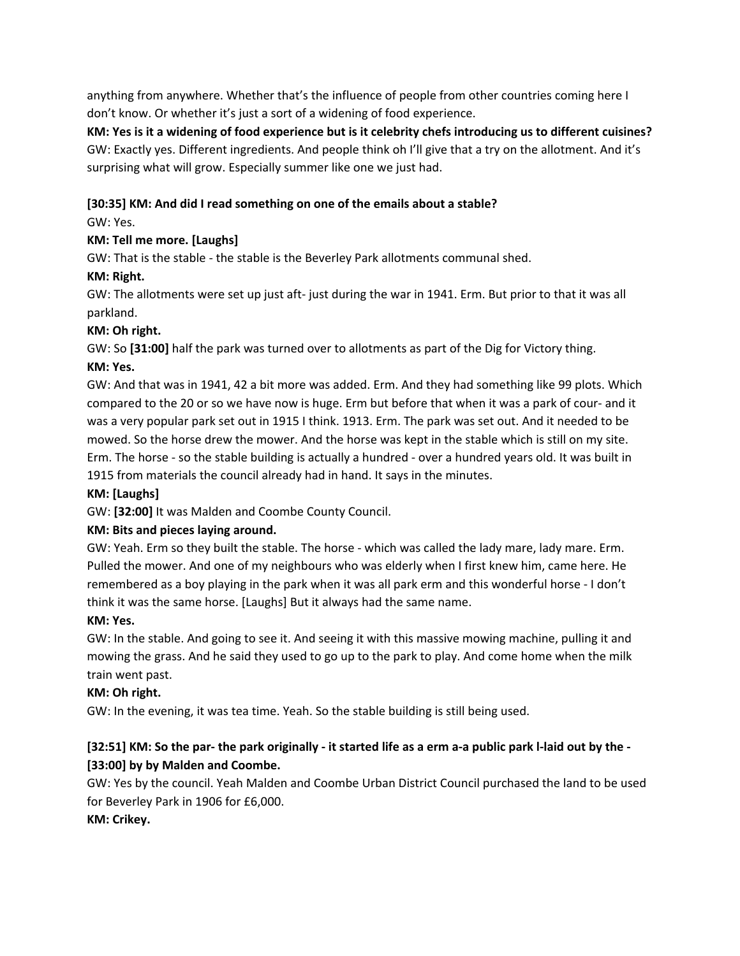anything from anywhere. Whether that's the influence of people from other countries coming here I don't know. Or whether it's just a sort of a widening of food experience.

KM: Yes is it a widening of food experience but is it celebrity chefs introducing us to different cuisines? GW: Exactly yes. Different ingredients. And people think oh I'll give that a try on the allotment. And it's surprising what will grow. Especially summer like one we just had.

# **[30:35] KM: And did I read something on one of the emails about a stable?**

# GW: Yes.

# **KM: Tell me more. [Laughs]**

GW: That is the stable - the stable is the Beverley Park allotments communal shed.

# **KM: Right.**

GW: The allotments were set up just aft- just during the war in 1941. Erm. But prior to that it was all parkland.

# **KM: Oh right.**

GW: So **[31:00]** half the park was turned over to allotments as part of the Dig for Victory thing.

# **KM: Yes.**

GW: And that was in 1941, 42 a bit more was added. Erm. And they had something like 99 plots. Which compared to the 20 or so we have now is huge. Erm but before that when it was a park of cour- and it was a very popular park set out in 1915 I think. 1913. Erm. The park was set out. And it needed to be mowed. So the horse drew the mower. And the horse was kept in the stable which is still on my site. Erm. The horse - so the stable building is actually a hundred - over a hundred years old. It was built in 1915 from materials the council already had in hand. It says in the minutes.

# **KM: [Laughs]**

GW: **[32:00]** It was Malden and Coombe County Council.

# **KM: Bits and pieces laying around.**

GW: Yeah. Erm so they built the stable. The horse - which was called the lady mare, lady mare. Erm. Pulled the mower. And one of my neighbours who was elderly when I first knew him, came here. He remembered as a boy playing in the park when it was all park erm and this wonderful horse - I don't think it was the same horse. [Laughs] But it always had the same name.

# **KM: Yes.**

GW: In the stable. And going to see it. And seeing it with this massive mowing machine, pulling it and mowing the grass. And he said they used to go up to the park to play. And come home when the milk train went past.

# **KM: Oh right.**

GW: In the evening, it was tea time. Yeah. So the stable building is still being used.

# [32:51] KM: So the par- the park originally - it started life as a erm a-a public park I-laid out by the -**[33:00] by by Malden and Coombe.**

GW: Yes by the council. Yeah Malden and Coombe Urban District Council purchased the land to be used for Beverley Park in 1906 for £6,000.

# **KM: Crikey.**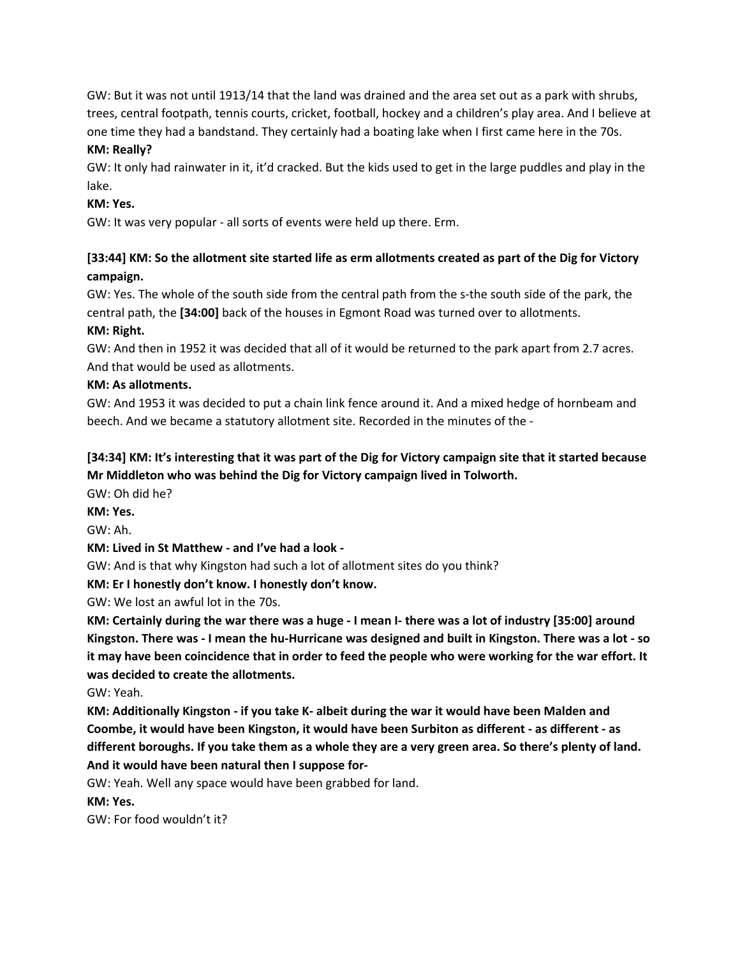GW: But it was not until 1913/14 that the land was drained and the area set out as a park with shrubs, trees, central footpath, tennis courts, cricket, football, hockey and a children's play area. And I believe at one time they had a bandstand. They certainly had a boating lake when I first came here in the 70s.

### **KM: Really?**

GW: It only had rainwater in it, it'd cracked. But the kids used to get in the large puddles and play in the lake.

### **KM: Yes.**

GW: It was very popular - all sorts of events were held up there. Erm.

# [33:44] KM: So the allotment site started life as erm allotments created as part of the Dig for Victory **campaign.**

GW: Yes. The whole of the south side from the central path from the s-the south side of the park, the central path, the **[34:00]** back of the houses in Egmont Road was turned over to allotments.

### **KM: Right.**

GW: And then in 1952 it was decided that all of it would be returned to the park apart from 2.7 acres. And that would be used as allotments.

### **KM: As allotments.**

GW: And 1953 it was decided to put a chain link fence around it. And a mixed hedge of hornbeam and beech. And we became a statutory allotment site. Recorded in the minutes of the -

# [34:34] KM: It's interesting that it was part of the Dig for Victory campaign site that it started because **Mr Middleton who was behind the Dig for Victory campaign lived in Tolworth.**

GW: Oh did he?

**KM: Yes.**

GW: Ah.

# **KM: Lived in St Matthew - and I've had a look -**

GW: And is that why Kingston had such a lot of allotment sites do you think?

**KM: Er I honestly don't know. I honestly don't know.**

GW: We lost an awful lot in the 70s.

KM: Certainly during the war there was a huge - I mean I- there was a lot of industry [35:00] around Kingston. There was - I mean the hu-Hurricane was designed and built in Kingston. There was a lot - so it may have been coincidence that in order to feed the people who were working for the war effort. It **was decided to create the allotments.**

GW: Yeah.

**KM: Additionally Kingston - if you take K- albeit during the war it would have been Malden and Coombe, it would have been Kingston, it would have been Surbiton as different - as different - as** different boroughs. If you take them as a whole they are a very green area. So there's plenty of land. **And it would have been natural then I suppose for-**

GW: Yeah. Well any space would have been grabbed for land.

**KM: Yes.**

GW: For food wouldn't it?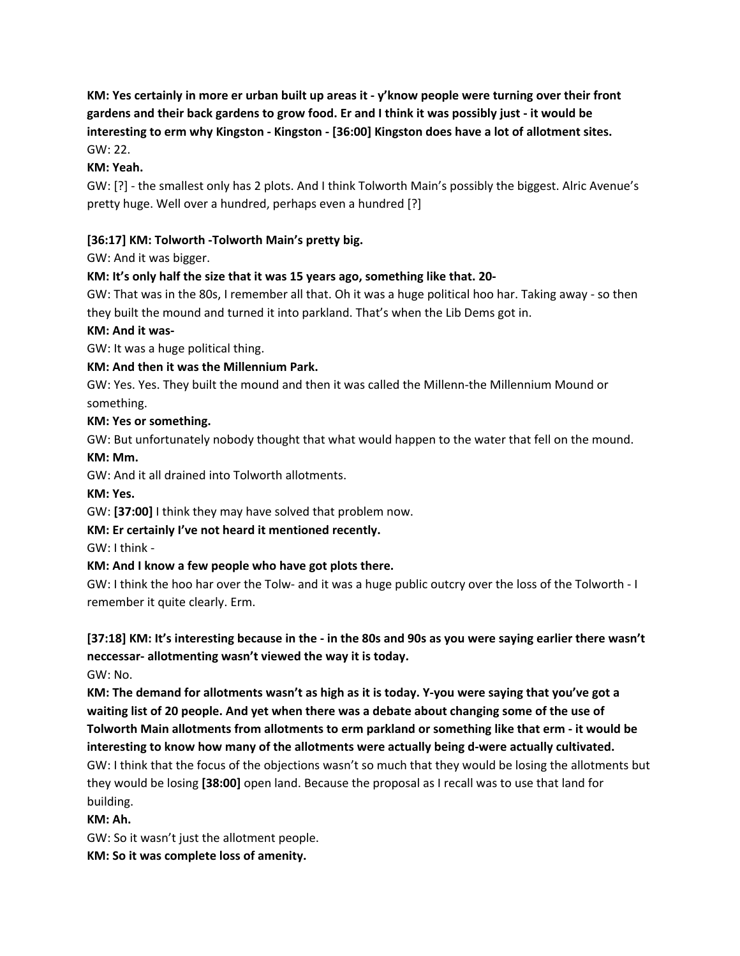KM: Yes certainly in more er urban built up areas it - y'know people were turning over their front gardens and their back gardens to grow food. Er and I think it was possibly just - it would be **interesting to erm why Kingston - Kingston - [36:00] Kingston does have a lot of allotment sites.** GW: 22.

# **KM: Yeah.**

GW: [?] - the smallest only has 2 plots. And I think Tolworth Main's possibly the biggest. Alric Avenue's pretty huge. Well over a hundred, perhaps even a hundred [?]

# **[36:17] KM: Tolworth -Tolworth Main's pretty big.**

GW: And it was bigger.

# **KM: It's only half the size that it was 15 years ago, something like that. 20-**

GW: That was in the 80s, I remember all that. Oh it was a huge political hoo har. Taking away - so then they built the mound and turned it into parkland. That's when the Lib Dems got in.

### **KM: And it was-**

GW: It was a huge political thing.

### **KM: And then it was the Millennium Park.**

GW: Yes. Yes. They built the mound and then it was called the Millenn-the Millennium Mound or something.

### **KM: Yes or something.**

GW: But unfortunately nobody thought that what would happen to the water that fell on the mound.

### **KM: Mm.**

GW: And it all drained into Tolworth allotments.

**KM: Yes.**

GW: **[37:00]** I think they may have solved that problem now.

# **KM: Er certainly I've not heard it mentioned recently.**

GW: I think -

# **KM: And I know a few people who have got plots there.**

GW: I think the hoo har over the Tolw- and it was a huge public outcry over the loss of the Tolworth - I remember it quite clearly. Erm.

# [37:18] KM: It's interesting because in the - in the 80s and 90s as you were saying earlier there wasn't **neccessar- allotmenting wasn't viewed the way it is today.**

GW: No.

KM: The demand for allotments wasn't as high as it is today. Y-you were saying that you've got a waiting list of 20 people. And yet when there was a debate about changing some of the use of **Tolworth Main allotments from allotments to erm parkland or something like that erm - it would be interesting to know how many of the allotments were actually being d-were actually cultivated.**

GW: I think that the focus of the objections wasn't so much that they would be losing the allotments but they would be losing **[38:00]** open land. Because the proposal as I recall was to use that land for building.

# **KM: Ah.**

GW: So it wasn't just the allotment people.

**KM: So it was complete loss of amenity.**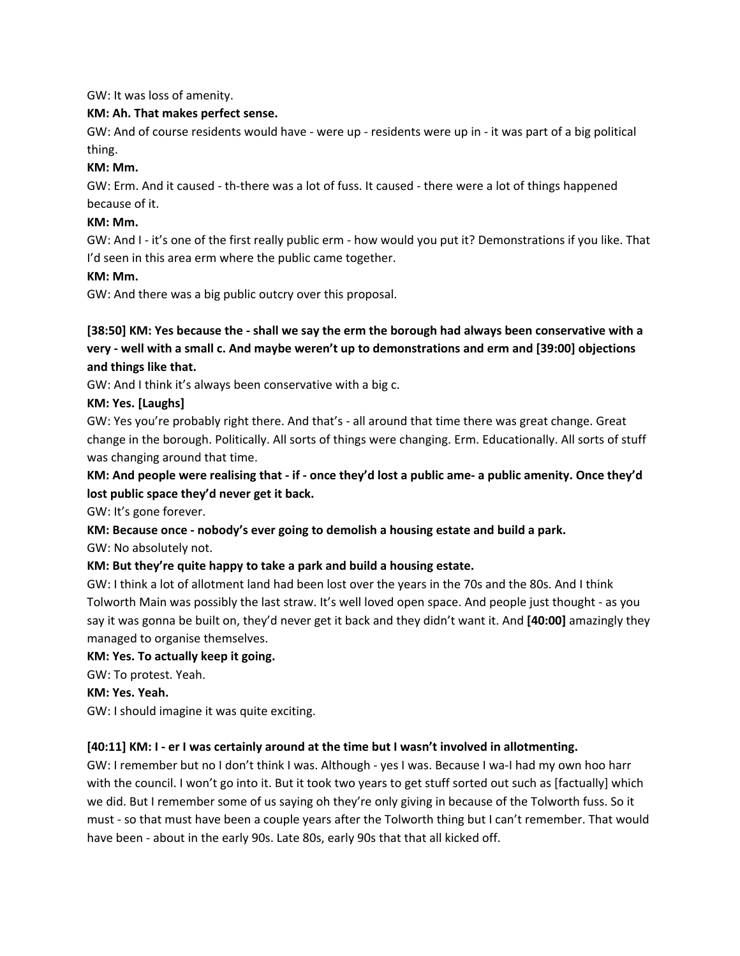GW: It was loss of amenity.

### **KM: Ah. That makes perfect sense.**

GW: And of course residents would have - were up - residents were up in - it was part of a big political thing.

### **KM: Mm.**

GW: Erm. And it caused - th-there was a lot of fuss. It caused - there were a lot of things happened because of it.

### **KM: Mm.**

GW: And I - it's one of the first really public erm - how would you put it? Demonstrations if you like. That I'd seen in this area erm where the public came together.

### **KM: Mm.**

GW: And there was a big public outcry over this proposal.

# [38:50] KM: Yes because the - shall we say the erm the borough had always been conservative with a **very - well with a small c. And maybe weren't up to demonstrations and erm and [39:00] objections and things like that.**

GW: And I think it's always been conservative with a big c.

### **KM: Yes. [Laughs]**

GW: Yes you're probably right there. And that's - all around that time there was great change. Great change in the borough. Politically. All sorts of things were changing. Erm. Educationally. All sorts of stuff was changing around that time.

# KM: And people were realising that - if - once they'd lost a public ame- a public amenity. Once they'd **lost public space they'd never get it back.**

GW: It's gone forever.

# **KM: Because once - nobody's ever going to demolish a housing estate and build a park.**

GW: No absolutely not.

# **KM: But they're quite happy to take a park and build a housing estate.**

GW: I think a lot of allotment land had been lost over the years in the 70s and the 80s. And I think Tolworth Main was possibly the last straw. It's well loved open space. And people just thought - as you say it was gonna be built on, they'd never get it back and they didn't want it. And **[40:00]** amazingly they managed to organise themselves.

### **KM: Yes. To actually keep it going.**

GW: To protest. Yeah.

**KM: Yes. Yeah.**

GW: I should imagine it was quite exciting.

# **[40:11] KM: I - er I was certainly around at the time but I wasn't involved in allotmenting.**

GW: I remember but no I don't think I was. Although - yes I was. Because I wa-I had my own hoo harr with the council. I won't go into it. But it took two years to get stuff sorted out such as [factually] which we did. But I remember some of us saying oh they're only giving in because of the Tolworth fuss. So it must - so that must have been a couple years after the Tolworth thing but I can't remember. That would have been - about in the early 90s. Late 80s, early 90s that that all kicked off.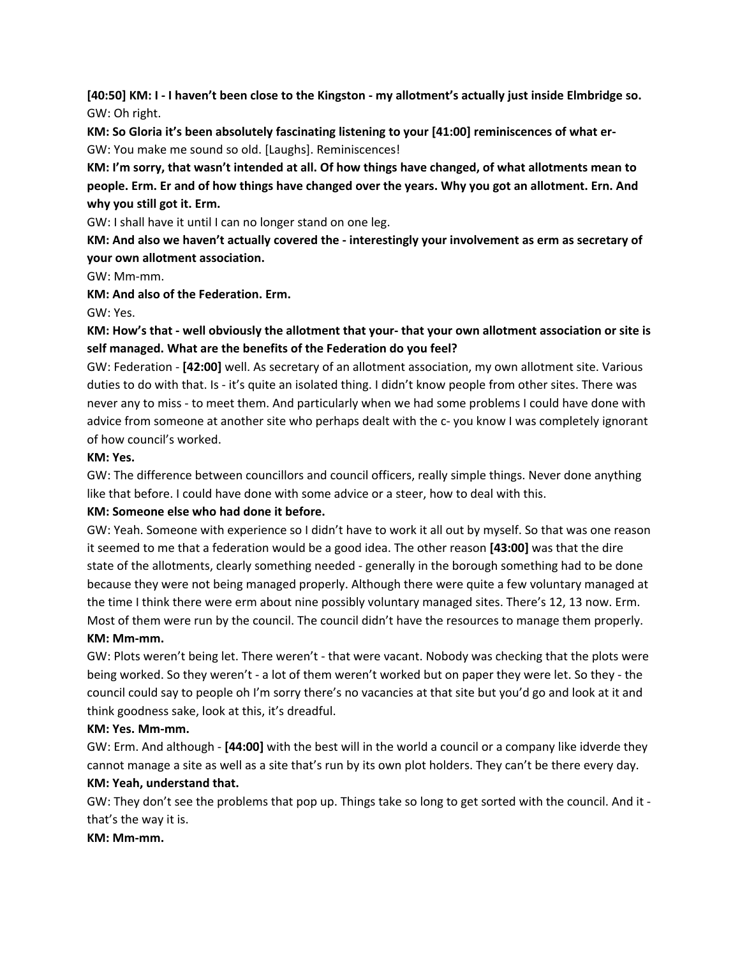[40:50] KM: I - I haven't been close to the Kingston - my allotment's actually just inside Elmbridge so. GW: Oh right.

**KM: So Gloria it's been absolutely fascinating listening to your [41:00] reminiscences of what er-**GW: You make me sound so old. [Laughs]. Reminiscences!

**KM: I'm sorry, that wasn't intended at all. Of how things have changed, of what allotments mean to** people. Erm. Er and of how things have changed over the years. Why you got an allotment. Ern. And **why you still got it. Erm.**

GW: I shall have it until I can no longer stand on one leg.

**KM: And also we haven't actually covered the - interestingly your involvement as erm as secretary of your own allotment association.**

GW: Mm-mm.

**KM: And also of the Federation. Erm.**

GW: Yes.

# KM: How's that - well obviously the allotment that your- that your own allotment association or site is **self managed. What are the benefits of the Federation do you feel?**

GW: Federation - **[42:00]** well. As secretary of an allotment association, my own allotment site. Various duties to do with that. Is - it's quite an isolated thing. I didn't know people from other sites. There was never any to miss - to meet them. And particularly when we had some problems I could have done with advice from someone at another site who perhaps dealt with the c- you know I was completely ignorant of how council's worked.

# **KM: Yes.**

GW: The difference between councillors and council officers, really simple things. Never done anything like that before. I could have done with some advice or a steer, how to deal with this.

# **KM: Someone else who had done it before.**

GW: Yeah. Someone with experience so I didn't have to work it all out by myself. So that was one reason it seemed to me that a federation would be a good idea. The other reason **[43:00]** was that the dire state of the allotments, clearly something needed - generally in the borough something had to be done because they were not being managed properly. Although there were quite a few voluntary managed at the time I think there were erm about nine possibly voluntary managed sites. There's 12, 13 now. Erm. Most of them were run by the council. The council didn't have the resources to manage them properly. **KM: Mm-mm.**

GW: Plots weren't being let. There weren't - that were vacant. Nobody was checking that the plots were being worked. So they weren't - a lot of them weren't worked but on paper they were let. So they - the council could say to people oh I'm sorry there's no vacancies at that site but you'd go and look at it and think goodness sake, look at this, it's dreadful.

# **KM: Yes. Mm-mm.**

GW: Erm. And although - **[44:00]** with the best will in the world a council or a company like idverde they cannot manage a site as well as a site that's run by its own plot holders. They can't be there every day. **KM: Yeah, understand that.**

GW: They don't see the problems that pop up. Things take so long to get sorted with the council. And it that's the way it is.

### **KM: Mm-mm.**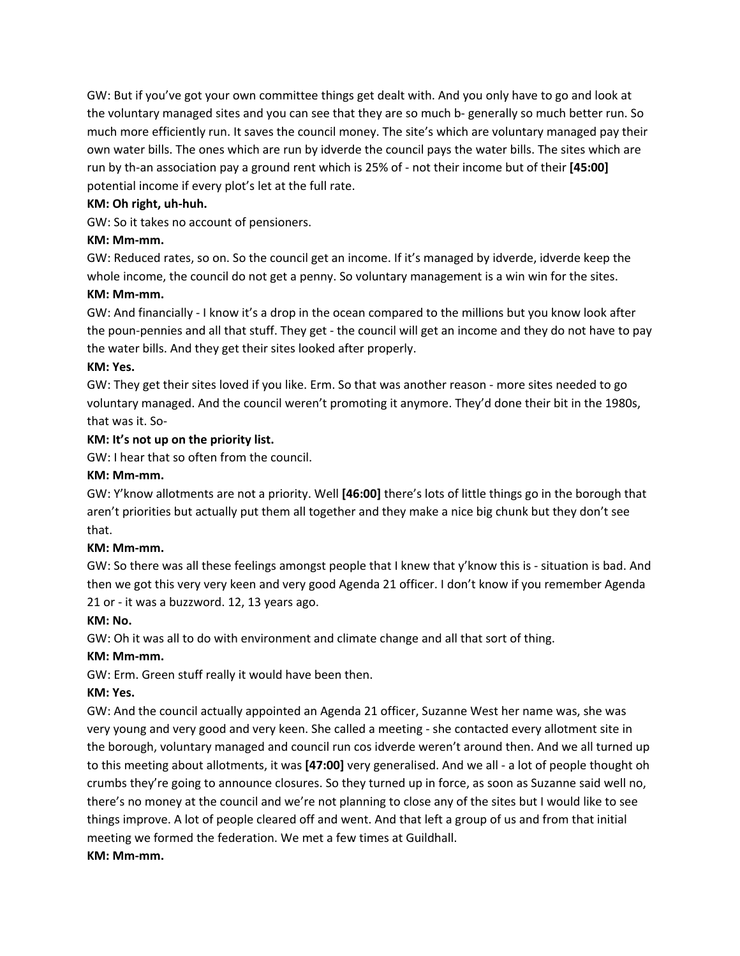GW: But if you've got your own committee things get dealt with. And you only have to go and look at the voluntary managed sites and you can see that they are so much b- generally so much better run. So much more efficiently run. It saves the council money. The site's which are voluntary managed pay their own water bills. The ones which are run by idverde the council pays the water bills. The sites which are run by th-an association pay a ground rent which is 25% of - not their income but of their **[45:00]** potential income if every plot's let at the full rate.

### **KM: Oh right, uh-huh.**

GW: So it takes no account of pensioners.

### **KM: Mm-mm.**

GW: Reduced rates, so on. So the council get an income. If it's managed by idverde, idverde keep the whole income, the council do not get a penny. So voluntary management is a win win for the sites.

# **KM: Mm-mm.**

GW: And financially - I know it's a drop in the ocean compared to the millions but you know look after the poun-pennies and all that stuff. They get - the council will get an income and they do not have to pay the water bills. And they get their sites looked after properly.

### **KM: Yes.**

GW: They get their sites loved if you like. Erm. So that was another reason - more sites needed to go voluntary managed. And the council weren't promoting it anymore. They'd done their bit in the 1980s, that was it. So-

### **KM: It's not up on the priority list.**

GW: I hear that so often from the council.

### **KM: Mm-mm.**

GW: Y'know allotments are not a priority. Well **[46:00]** there's lots of little things go in the borough that aren't priorities but actually put them all together and they make a nice big chunk but they don't see that.

### **KM: Mm-mm.**

GW: So there was all these feelings amongst people that I knew that y'know this is - situation is bad. And then we got this very very keen and very good Agenda 21 officer. I don't know if you remember Agenda 21 or - it was a buzzword. 12, 13 years ago.

### **KM: No.**

GW: Oh it was all to do with environment and climate change and all that sort of thing.

# **KM: Mm-mm.**

GW: Erm. Green stuff really it would have been then.

# **KM: Yes.**

GW: And the council actually appointed an Agenda 21 officer, Suzanne West her name was, she was very young and very good and very keen. She called a meeting - she contacted every allotment site in the borough, voluntary managed and council run cos idverde weren't around then. And we all turned up to this meeting about allotments, it was **[47:00]** very generalised. And we all - a lot of people thought oh crumbs they're going to announce closures. So they turned up in force, as soon as Suzanne said well no, there's no money at the council and we're not planning to close any of the sites but I would like to see things improve. A lot of people cleared off and went. And that left a group of us and from that initial meeting we formed the federation. We met a few times at Guildhall.

### **KM: Mm-mm.**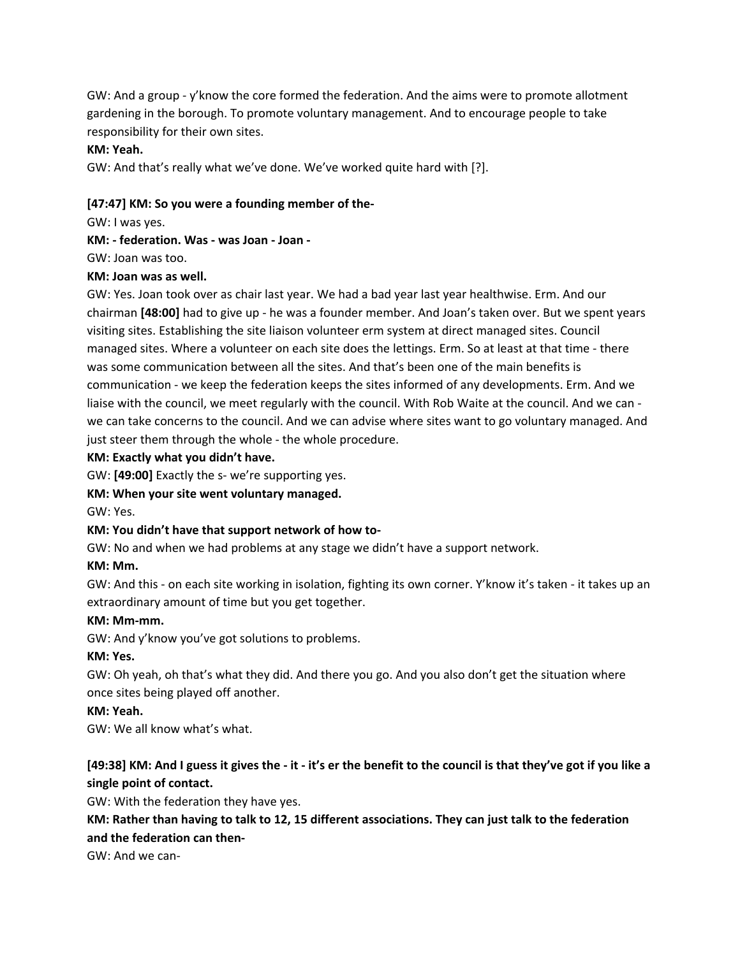GW: And a group - y'know the core formed the federation. And the aims were to promote allotment gardening in the borough. To promote voluntary management. And to encourage people to take responsibility for their own sites.

#### **KM: Yeah.**

GW: And that's really what we've done. We've worked quite hard with [?].

#### **[47:47] KM: So you were a founding member of the-**

GW: I was yes.

**KM: - federation. Was - was Joan - Joan -**

GW: Joan was too.

#### **KM: Joan was as well.**

GW: Yes. Joan took over as chair last year. We had a bad year last year healthwise. Erm. And our chairman **[48:00]** had to give up - he was a founder member. And Joan's taken over. But we spent years visiting sites. Establishing the site liaison volunteer erm system at direct managed sites. Council managed sites. Where a volunteer on each site does the lettings. Erm. So at least at that time - there was some communication between all the sites. And that's been one of the main benefits is communication - we keep the federation keeps the sites informed of any developments. Erm. And we liaise with the council, we meet regularly with the council. With Rob Waite at the council. And we can we can take concerns to the council. And we can advise where sites want to go voluntary managed. And just steer them through the whole - the whole procedure.

#### **KM: Exactly what you didn't have.**

GW: **[49:00]** Exactly the s- we're supporting yes.

### **KM: When your site went voluntary managed.**

GW: Yes.

### **KM: You didn't have that support network of how to-**

GW: No and when we had problems at any stage we didn't have a support network.

#### **KM: Mm.**

GW: And this - on each site working in isolation, fighting its own corner. Y'know it's taken - it takes up an extraordinary amount of time but you get together.

#### **KM: Mm-mm.**

GW: And y'know you've got solutions to problems.

### **KM: Yes.**

GW: Oh yeah, oh that's what they did. And there you go. And you also don't get the situation where once sites being played off another.

### **KM: Yeah.**

GW: We all know what's what.

# [49:38] KM: And I guess it gives the - it - it's er the benefit to the council is that they've got if you like a **single point of contact.**

GW: With the federation they have yes.

KM: Rather than having to talk to 12, 15 different associations. They can just talk to the federation **and the federation can then-**

GW: And we can-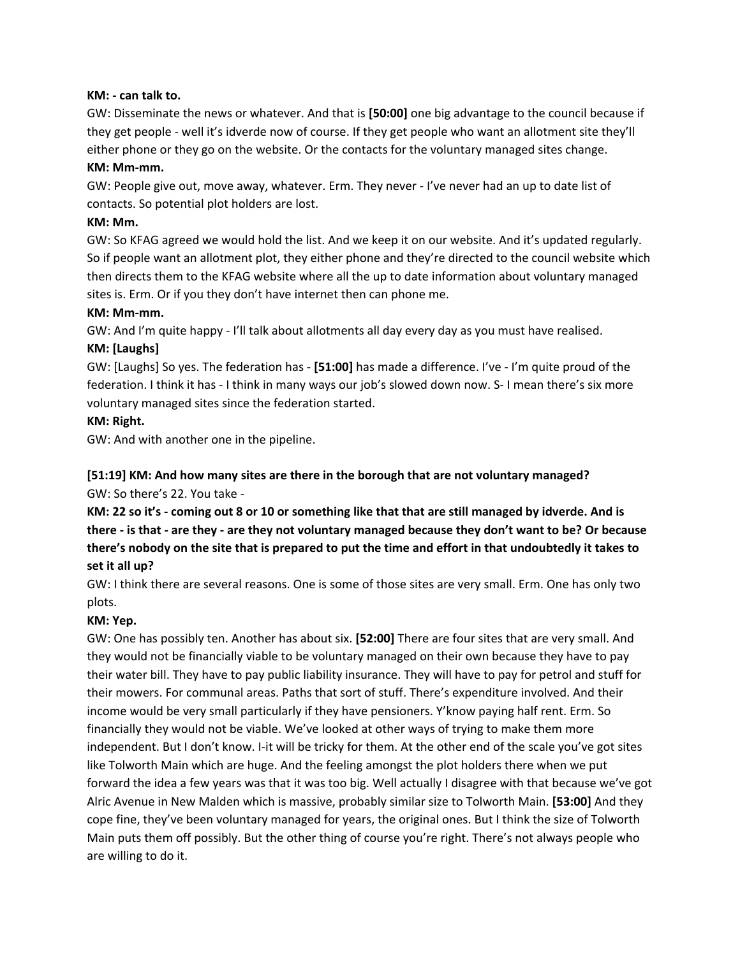#### **KM: - can talk to.**

GW: Disseminate the news or whatever. And that is **[50:00]** one big advantage to the council because if they get people - well it's idverde now of course. If they get people who want an allotment site they'll either phone or they go on the website. Or the contacts for the voluntary managed sites change.

#### **KM: Mm-mm.**

GW: People give out, move away, whatever. Erm. They never - I've never had an up to date list of contacts. So potential plot holders are lost.

#### **KM: Mm.**

GW: So KFAG agreed we would hold the list. And we keep it on our website. And it's updated regularly. So if people want an allotment plot, they either phone and they're directed to the council website which then directs them to the KFAG website where all the up to date information about voluntary managed sites is. Erm. Or if you they don't have internet then can phone me.

#### **KM: Mm-mm.**

GW: And I'm quite happy - I'll talk about allotments all day every day as you must have realised.

### **KM: [Laughs]**

GW: [Laughs] So yes. The federation has - **[51:00]** has made a difference. I've - I'm quite proud of the federation. I think it has - I think in many ways our job's slowed down now. S- I mean there's six more voluntary managed sites since the federation started.

#### **KM: Right.**

GW: And with another one in the pipeline.

# **[51:19] KM: And how many sites are there in the borough that are not voluntary managed?**

#### GW: So there's 22. You take -

KM: 22 so it's - coming out 8 or 10 or something like that that are still managed by idverde. And is there - is that - are they - are they not voluntary managed because they don't want to be? Or because there's nobody on the site that is prepared to put the time and effort in that undoubtedly it takes to **set it all up?**

GW: I think there are several reasons. One is some of those sites are very small. Erm. One has only two plots.

### **KM: Yep.**

GW: One has possibly ten. Another has about six. **[52:00]** There are four sites that are very small. And they would not be financially viable to be voluntary managed on their own because they have to pay their water bill. They have to pay public liability insurance. They will have to pay for petrol and stuff for their mowers. For communal areas. Paths that sort of stuff. There's expenditure involved. And their income would be very small particularly if they have pensioners. Y'know paying half rent. Erm. So financially they would not be viable. We've looked at other ways of trying to make them more independent. But I don't know. I-it will be tricky for them. At the other end of the scale you've got sites like Tolworth Main which are huge. And the feeling amongst the plot holders there when we put forward the idea a few years was that it was too big. Well actually I disagree with that because we've got Alric Avenue in New Malden which is massive, probably similar size to Tolworth Main. **[53:00]** And they cope fine, they've been voluntary managed for years, the original ones. But I think the size of Tolworth Main puts them off possibly. But the other thing of course you're right. There's not always people who are willing to do it.